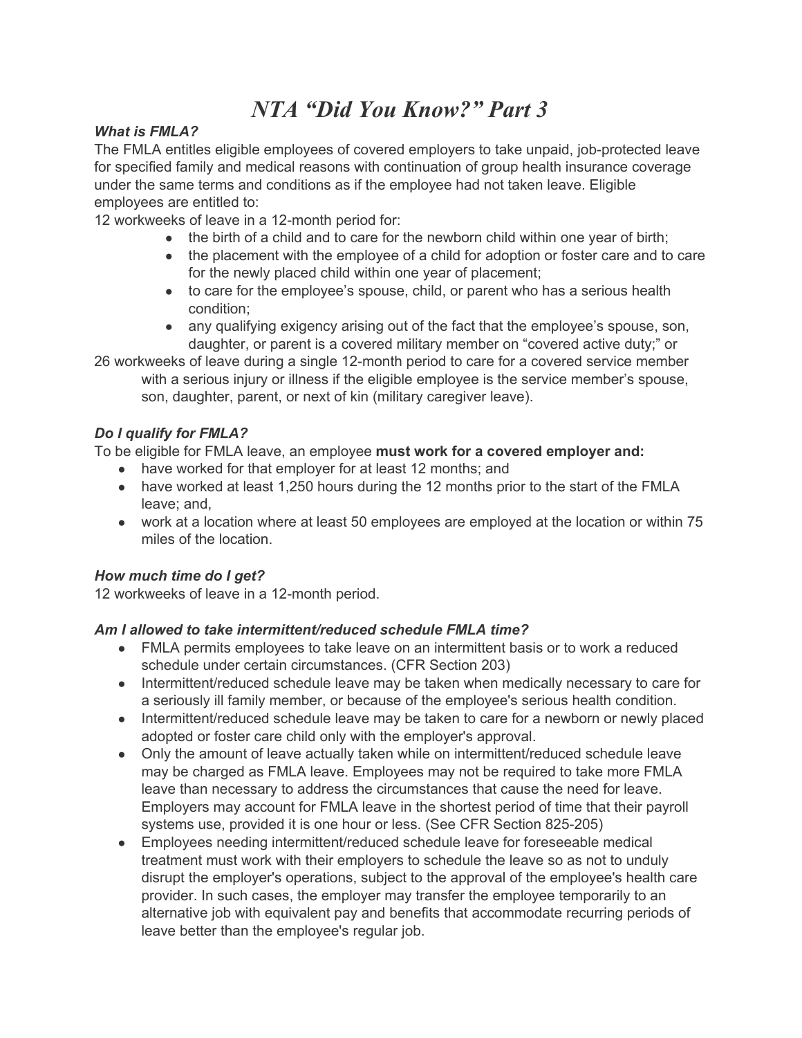# *NTA "Did You Know?" Part 3*

#### *What is FMLA?*

The FMLA entitles eligible employees of covered employers to take unpaid, job-protected leave for specified family and medical reasons with continuation of group health insurance coverage under the same terms and conditions as if the employee had not taken leave. Eligible employees are entitled to:

12 workweeks of leave in a 12-month period for:

- the birth of a child and to care for the newborn child within one year of birth;
- the placement with the employee of a child for adoption or foster care and to care for the newly placed child within one year of placement;
- to care for the employee's spouse, child, or parent who has a serious health condition;
- any qualifying exigency arising out of the fact that the employee's spouse, son, daughter, or parent is a covered military member on "covered active duty;" or

26 workweeks of leave during a single 12-month period to care for a covered service member with a serious injury or illness if the eligible employee is the service member's spouse, son, daughter, parent, or next of kin (military caregiver leave).

#### *Do I qualify for FMLA?*

To be eligible for FMLA leave, an employee **must work for a covered employer and:**

- have worked for that employer for at least 12 months; and
- have worked at least 1,250 hours during the 12 months prior to the start of the FMLA leave; and,
- work at a location where at least 50 employees are employed at the location or within 75 miles of the location.

#### *How much time do I get?*

12 workweeks of leave in a 12-month period.

#### *Am I allowed to take intermittent/reduced schedule FMLA time?*

- FMLA permits employees to take leave on an intermittent basis or to work a reduced schedule under certain circumstances. (CFR Section 203)
- Intermittent/reduced schedule leave may be taken when medically necessary to care for a seriously ill family member, or because of the employee's serious health condition.
- Intermittent/reduced schedule leave may be taken to care for a newborn or newly placed adopted or foster care child only with the employer's approval.
- Only the amount of leave actually taken while on intermittent/reduced schedule leave may be charged as FMLA leave. Employees may not be required to take more FMLA leave than necessary to address the circumstances that cause the need for leave. Employers may account for FMLA leave in the shortest period of time that their payroll systems use, provided it is one hour or less. (See CFR Section 825-205)
- Employees needing intermittent/reduced schedule leave for foreseeable medical treatment must work with their employers to schedule the leave so as not to unduly disrupt the employer's operations, subject to the approval of the employee's health care provider. In such cases, the employer may transfer the employee temporarily to an alternative job with equivalent pay and benefits that accommodate recurring periods of leave better than the employee's regular job.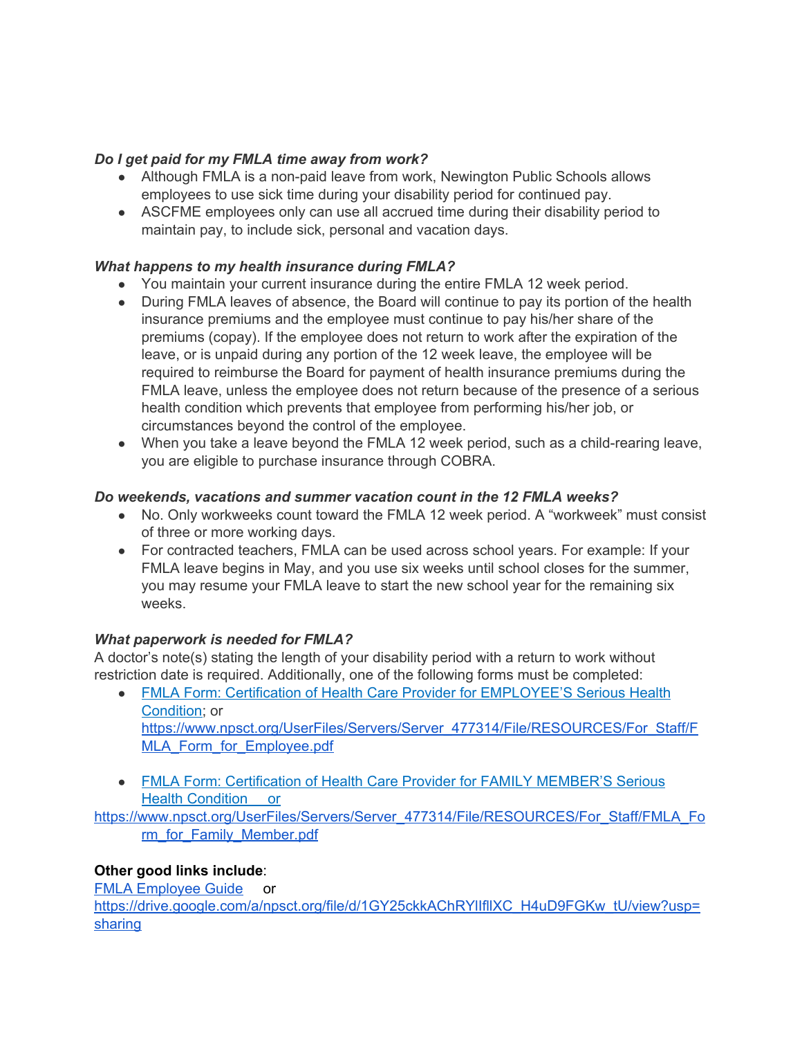### *Do I get paid for my FMLA time away from work?*

- Although FMLA is a non-paid leave from work, Newington Public Schools allows employees to use sick time during your disability period for continued pay.
- ASCFME employees only can use all accrued time during their disability period to maintain pay, to include sick, personal and vacation days.

## *What happens to my health insurance during FMLA?*

- You maintain your current insurance during the entire FMLA 12 week period.
- During FMLA leaves of absence, the Board will continue to pay its portion of the health insurance premiums and the employee must continue to pay his/her share of the premiums (copay). If the employee does not return to work after the expiration of the leave, or is unpaid during any portion of the 12 week leave, the employee will be required to reimburse the Board for payment of health insurance premiums during the FMLA leave, unless the employee does not return because of the presence of a serious health condition which prevents that employee from performing his/her job, or circumstances beyond the control of the employee.
- When you take a leave beyond the FMLA 12 week period, such as a child-rearing leave, you are eligible to purchase insurance through COBRA.

## *Do weekends, vacations and summer vacation count in the 12 FMLA weeks?*

- No. Only workweeks count toward the FMLA 12 week period. A "workweek" must consist of three or more working days.
- For contracted teachers, FMLA can be used across school years. For example: If your FMLA leave begins in May, and you use six weeks until school closes for the summer, you may resume your FMLA leave to start the new school year for the remaining six weeks.

#### *What paperwork is needed for FMLA?*

A doctor's note(s) stating the length of your disability period with a return to work without restriction date is required. Additionally, one of the following forms must be completed:

- FMLA Form: Certification of Health Care Provider for [EMPLOYEE'S](https://www.npsct.org/UserFiles/Servers/Server_477314/File/RESOURCES/For_Staff/FMLA_Form_for_Employee.pdf) Serious Health [Condition](https://www.npsct.org/UserFiles/Servers/Server_477314/File/RESOURCES/For_Staff/FMLA_Form_for_Employee.pdf); or [https://www.npsct.org/UserFiles/Servers/Server\\_477314/File/RESOURCES/For\\_Staff/F](https://www.npsct.org/UserFiles/Servers/Server_477314/File/RESOURCES/For_Staff/FMLA_Form_for_Employee.pdf) [MLA\\_Form\\_for\\_Employee.pdf](https://www.npsct.org/UserFiles/Servers/Server_477314/File/RESOURCES/For_Staff/FMLA_Form_for_Employee.pdf)
- FMLA Form: [Certification](https://www.npsct.org/UserFiles/Servers/Server_477314/File/RESOURCES/For_Staff/FMLA_Form_for_Family_Member.pdf) of Health Care Provider for FAMILY MEMBER'S Serious Health [Condition](https://www.npsct.org/UserFiles/Servers/Server_477314/File/RESOURCES/For_Staff/FMLA_Form_for_Family_Member.pdf) or

[https://www.npsct.org/UserFiles/Servers/Server\\_477314/File/RESOURCES/For\\_Staff/FMLA\\_Fo](https://www.npsct.org/UserFiles/Servers/Server_477314/File/RESOURCES/For_Staff/FMLA_Form_for_Family_Member.pdf) [rm\\_for\\_Family\\_Member.pdf](https://www.npsct.org/UserFiles/Servers/Server_477314/File/RESOURCES/For_Staff/FMLA_Form_for_Family_Member.pdf)

## **Other good links include**:

FMLA [Employee](https://drive.google.com/a/npsct.org/file/d/1GY25ckkAChRYlIfllXC_H4uD9FGKw_tU/view?usp=sharing) Guide or https://drive.google.com/a/npsct.org/file/d/1GY25ckkAChRYIIflIXC\_H4uD9FGKw\_tU/view?usp= [sharing](https://drive.google.com/a/npsct.org/file/d/1GY25ckkAChRYlIfllXC_H4uD9FGKw_tU/view?usp=sharing)